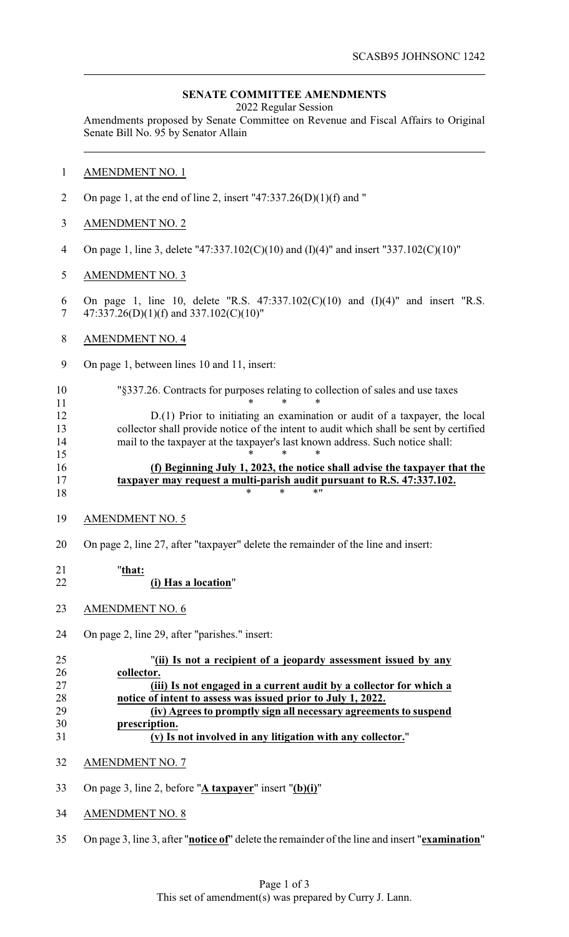## **SENATE COMMITTEE AMENDMENTS**

2022 Regular Session

Amendments proposed by Senate Committee on Revenue and Fiscal Affairs to Original Senate Bill No. 95 by Senator Allain

- AMENDMENT NO. 1
- 2 On page 1, at the end of line 2, insert "47:337.26(D)(1)(f) and "
- AMENDMENT NO. 2
- On page 1, line 3, delete "47:337.102(C)(10) and (I)(4)" and insert "337.102(C)(10)"
- AMENDMENT NO. 3
- On page 1, line 10, delete "R.S. 47:337.102(C)(10) and (I)(4)" and insert "R.S. 7 47:337.26(D)(1)(f) and 337.102(C)(10)"
- AMENDMENT NO. 4
- On page 1, between lines 10 and 11, insert:
- "§337.26. Contracts for purposes relating to collection of sales and use taxes **\*** \* \* \*

 D.(1) Prior to initiating an examination or audit of a taxpayer, the local 13 collector shall provide notice of the intent to audit which shall be sent by certified<br>14 mail to the taxpayer at the taxpayer's last known address. Such notice shall: mail to the taxpayer at the taxpayer's last known address. Such notice shall: \* \* \*

# **(f) Beginning July 1, 2023, the notice shall advise the taxpayer that the taxpayer may request a multi-parish audit pursuant to R.S. 47:337.102.**  $18 \times * * * * "$

- AMENDMENT NO. 5
- On page 2, line 27, after "taxpayer" delete the remainder of the line and insert:

#### "**that: (i) Has a location**"

- AMENDMENT NO. 6
- 
- On page 2, line 29, after "parishes." insert:

| 25 | "(ii) Is not a recipient of a jeopardy assessment issued by any    |
|----|--------------------------------------------------------------------|
| 26 | collector.                                                         |
| 27 | (iii) Is not engaged in a current audit by a collector for which a |
| 28 | notice of intent to assess was issued prior to July 1, 2022.       |
| 29 | (iv) Agrees to promptly sign all necessary agreements to suspend   |
| 30 | prescription.                                                      |
| 31 | (v) Is not involved in any litigation with any collector."         |

- AMENDMENT NO. 7
- On page 3, line 2, before "**A taxpayer**" insert "**(b)(i)**"
- AMENDMENT NO. 8
- On page 3, line 3, after "**notice of**" delete the remainder of the line and insert "**examination**"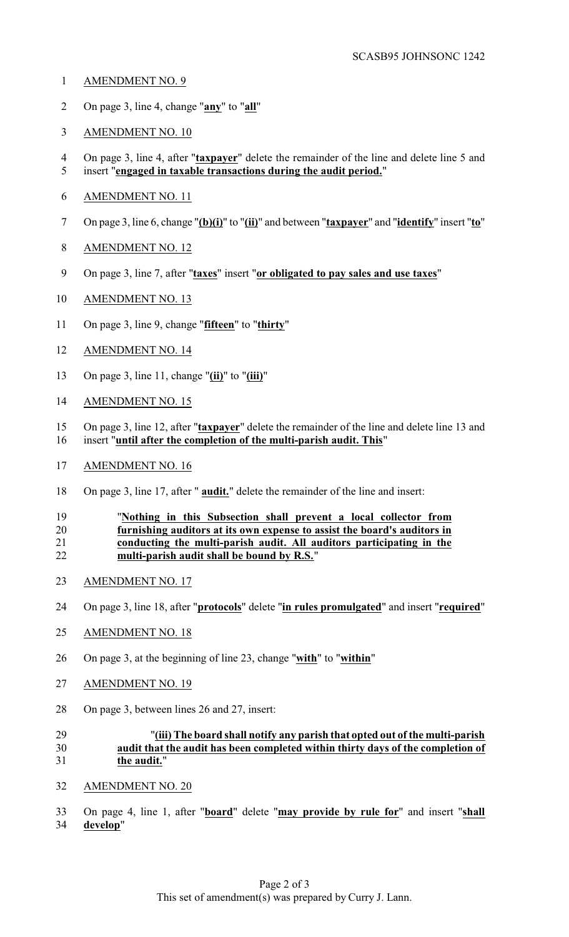- AMENDMENT NO. 9
- On page 3, line 4, change "**any**" to "**all**"
- AMENDMENT NO. 10
- On page 3, line 4, after "**taxpayer**" delete the remainder of the line and delete line 5 and insert "**engaged in taxable transactions during the audit period.**"
- AMENDMENT NO. 11
- On page 3, line 6, change "**(b)(i)**" to "**(ii)**" and between "**taxpayer**" and "**identify**" insert "**to**"
- AMENDMENT NO. 12
- On page 3, line 7, after "**taxes**" insert "**or obligated to pay sales and use taxes**"
- AMENDMENT NO. 13
- On page 3, line 9, change "**fifteen**" to "**thirty**"
- AMENDMENT NO. 14
- On page 3, line 11, change "**(ii)**" to "**(iii)**"
- AMENDMENT NO. 15
- On page 3, line 12, after "**taxpayer**" delete the remainder of the line and delete line 13 and insert "**until after the completion of the multi-parish audit. This**"
- AMENDMENT NO. 16
- On page 3, line 17, after " **audit.**" delete the remainder of the line and insert:

## "**Nothing in this Subsection shall prevent a local collector from furnishing auditors at its own expense to assist the board's auditors in conducting the multi-parish audit. All auditors participating in the multi-parish audit shall be bound by R.S.**"

- AMENDMENT NO. 17
- On page 3, line 18, after "**protocols**" delete "**in rules promulgated**" and insert "**required**"
- AMENDMENT NO. 18
- On page 3, at the beginning of line 23, change "**with**" to "**within**"
- AMENDMENT NO. 19
- On page 3, between lines 26 and 27, insert:

# "**(iii) The board shall notify any parish that opted out of the multi-parish audit that the audit has been completed within thirty days of the completion of the audit.**"

AMENDMENT NO. 20

 On page 4, line 1, after "**board**" delete "**may provide by rule for**" and insert "**shall develop**"